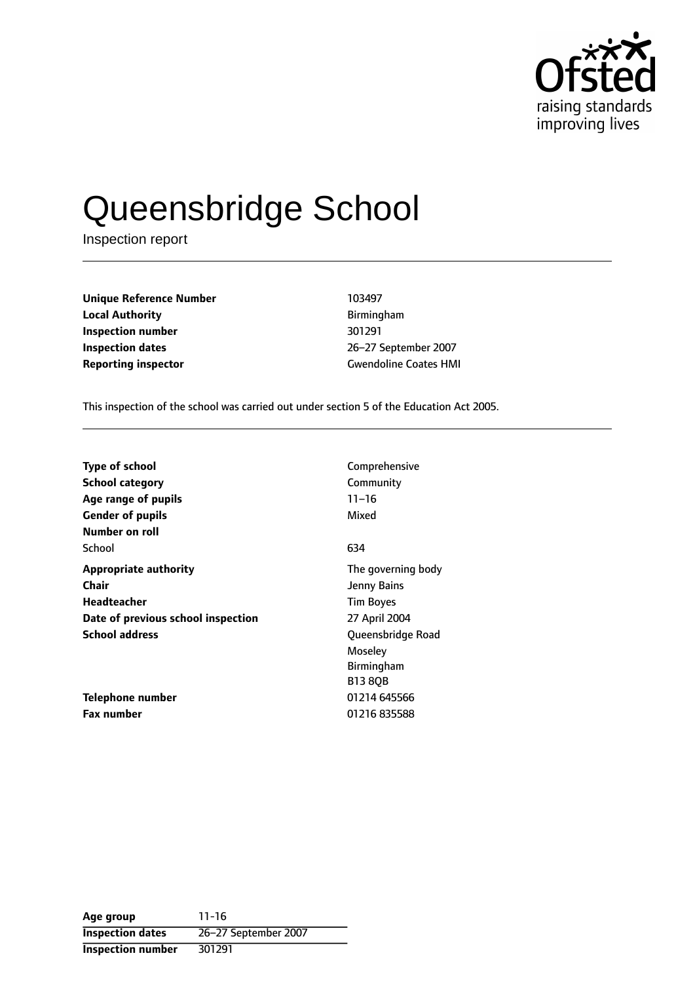

# Queensbridge School

Inspection report

**Unique Reference Number** 103497 **Local Authority Birmingham Inspection number** 301291 **Inspection dates** 26-27 September 2007 **Reporting inspector** Gwendoline Coates HMI

This inspection of the school was carried out under section 5 of the Education Act 2005.

| <b>Type of school</b>              | Comprehensive      |
|------------------------------------|--------------------|
| <b>School category</b>             | Community          |
| Age range of pupils                | $11 - 16$          |
| <b>Gender of pupils</b>            | Mixed              |
| Number on roll                     |                    |
| School                             | 634                |
| <b>Appropriate authority</b>       | The governing body |
| Chair                              | Jenny Bains        |
| Headteacher                        | <b>Tim Boyes</b>   |
| Date of previous school inspection | 27 April 2004      |
| <b>School address</b>              | Queensbridge Road  |
|                                    | Moseley            |
|                                    | Birmingham         |
|                                    | <b>B13 8QB</b>     |
| Telephone number                   | 01214 645566       |
| <b>Fax number</b>                  | 01216 835588       |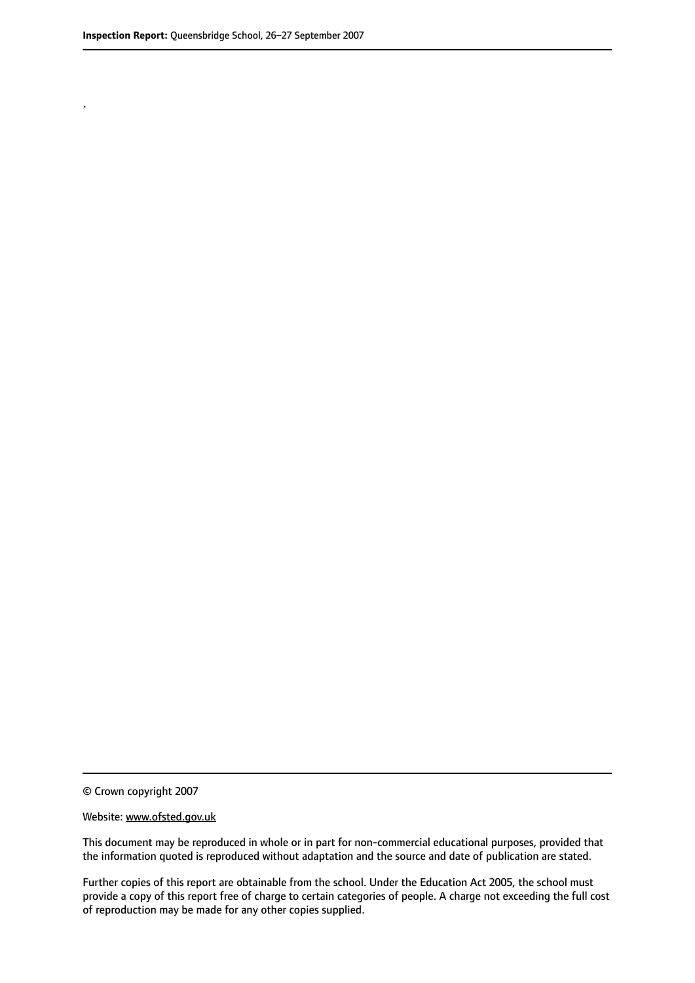.

© Crown copyright 2007

#### Website: www.ofsted.gov.uk

This document may be reproduced in whole or in part for non-commercial educational purposes, provided that the information quoted is reproduced without adaptation and the source and date of publication are stated.

Further copies of this report are obtainable from the school. Under the Education Act 2005, the school must provide a copy of this report free of charge to certain categories of people. A charge not exceeding the full cost of reproduction may be made for any other copies supplied.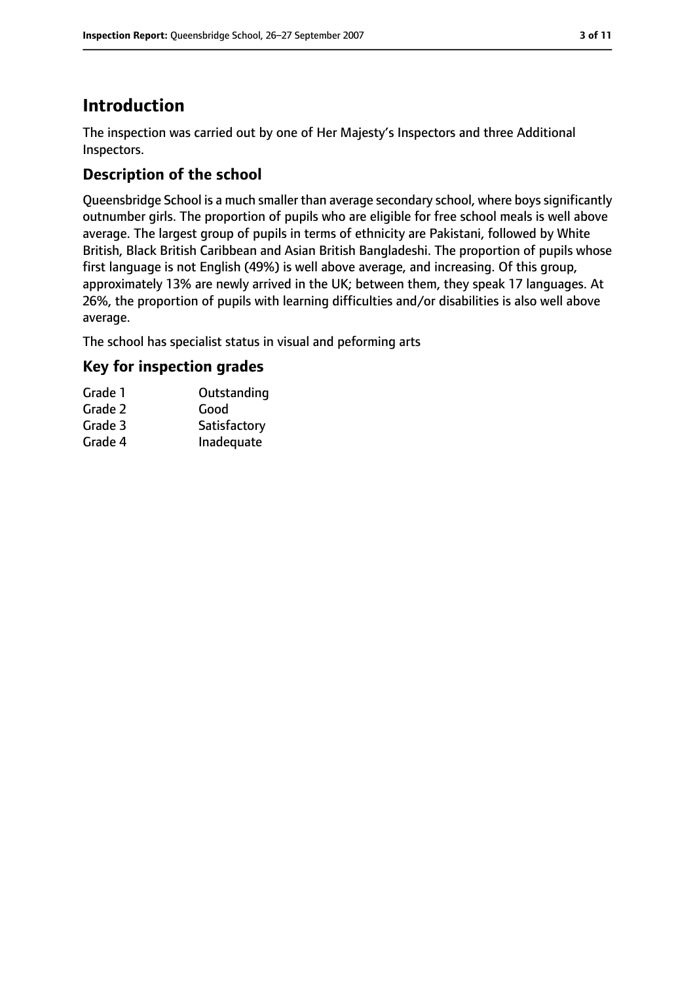# **Introduction**

The inspection was carried out by one of Her Majesty's Inspectors and three Additional Inspectors.

# **Description of the school**

Queensbridge School is a much smaller than average secondary school, where boys significantly outnumber girls. The proportion of pupils who are eligible for free school meals is well above average. The largest group of pupils in terms of ethnicity are Pakistani, followed by White British, Black British Caribbean and Asian British Bangladeshi. The proportion of pupils whose first language is not English (49%) is well above average, and increasing. Of this group, approximately 13% are newly arrived in the UK; between them, they speak 17 languages. At 26%, the proportion of pupils with learning difficulties and/or disabilities is also well above average.

The school has specialist status in visual and peforming arts

# **Key for inspection grades**

| Grade 1 | Outstanding  |
|---------|--------------|
| Grade 2 | Good         |
| Grade 3 | Satisfactory |
| Grade 4 | Inadequate   |
|         |              |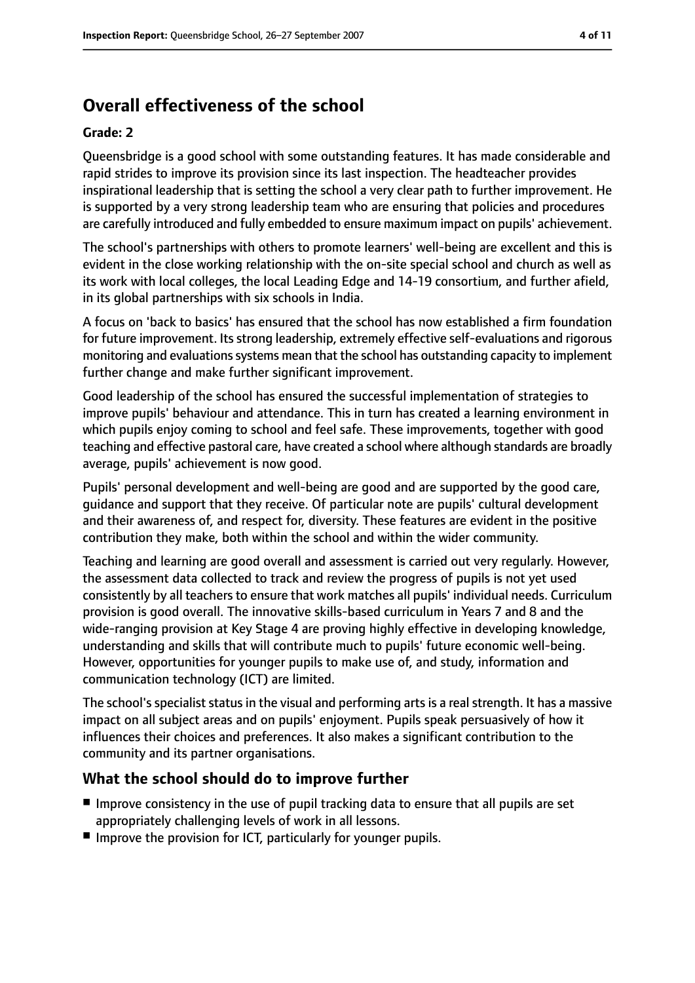# **Overall effectiveness of the school**

#### **Grade: 2**

Queensbridge is a good school with some outstanding features. It has made considerable and rapid strides to improve its provision since its last inspection. The headteacher provides inspirational leadership that is setting the school a very clear path to further improvement. He is supported by a very strong leadership team who are ensuring that policies and procedures are carefully introduced and fully embedded to ensure maximum impact on pupils' achievement.

The school's partnerships with others to promote learners' well-being are excellent and this is evident in the close working relationship with the on-site special school and church as well as its work with local colleges, the local Leading Edge and 14-19 consortium, and further afield, in its global partnerships with six schools in India.

A focus on 'back to basics' has ensured that the school has now established a firm foundation for future improvement. Its strong leadership, extremely effective self-evaluations and rigorous monitoring and evaluations systems mean that the school has outstanding capacity to implement further change and make further significant improvement.

Good leadership of the school has ensured the successful implementation of strategies to improve pupils' behaviour and attendance. This in turn has created a learning environment in which pupils enjoy coming to school and feel safe. These improvements, together with good teaching and effective pastoral care, have created a school where although standards are broadly average, pupils' achievement is now good.

Pupils' personal development and well-being are good and are supported by the good care, guidance and support that they receive. Of particular note are pupils' cultural development and their awareness of, and respect for, diversity. These features are evident in the positive contribution they make, both within the school and within the wider community.

Teaching and learning are good overall and assessment is carried out very regularly. However, the assessment data collected to track and review the progress of pupils is not yet used consistently by all teachers to ensure that work matches all pupils' individual needs. Curriculum provision is good overall. The innovative skills-based curriculum in Years 7 and 8 and the wide-ranging provision at Key Stage 4 are proving highly effective in developing knowledge, understanding and skills that will contribute much to pupils' future economic well-being. However, opportunities for younger pupils to make use of, and study, information and communication technology (ICT) are limited.

The school's specialist status in the visual and performing arts is a real strength. It has a massive impact on all subject areas and on pupils' enjoyment. Pupils speak persuasively of how it influences their choices and preferences. It also makes a significant contribution to the community and its partner organisations.

### **What the school should do to improve further**

- Improve consistency in the use of pupil tracking data to ensure that all pupils are set appropriately challenging levels of work in all lessons.
- Improve the provision for ICT, particularly for younger pupils.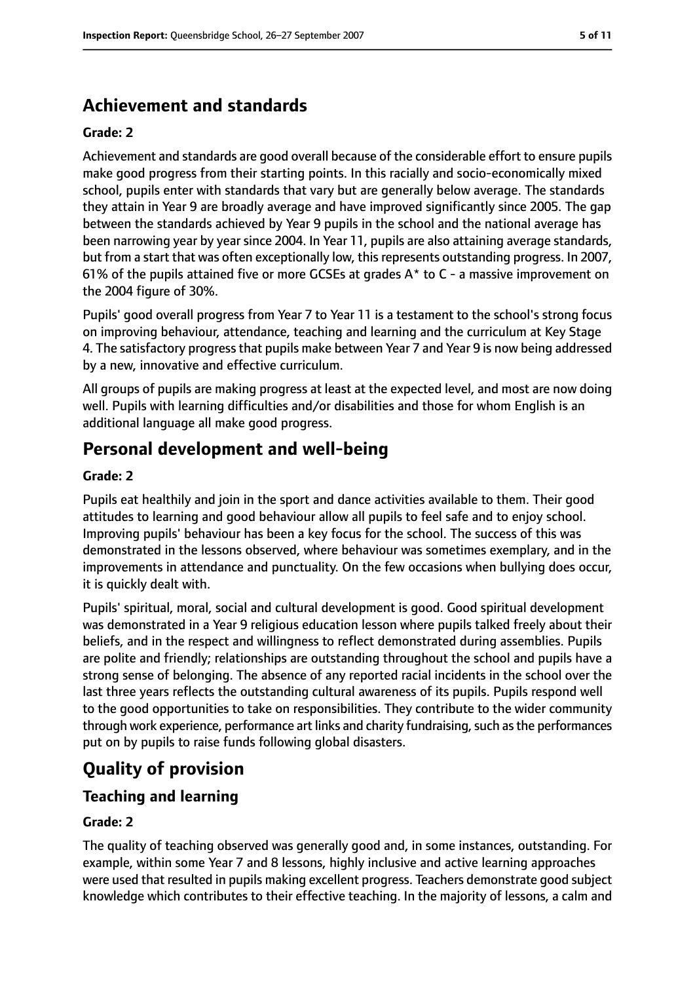# **Achievement and standards**

#### **Grade: 2**

Achievement and standards are good overall because of the considerable effort to ensure pupils make good progress from their starting points. In this racially and socio-economically mixed school, pupils enter with standards that vary but are generally below average. The standards they attain in Year 9 are broadly average and have improved significantly since 2005. The gap between the standards achieved by Year 9 pupils in the school and the national average has been narrowing year by year since 2004. In Year 11, pupils are also attaining average standards, but from a start that was often exceptionally low, this represents outstanding progress. In 2007, 61% of the pupils attained five or more GCSEs at grades  $A^*$  to C - a massive improvement on the 2004 figure of 30%.

Pupils' good overall progress from Year 7 to Year 11 is a testament to the school's strong focus on improving behaviour, attendance, teaching and learning and the curriculum at Key Stage 4. The satisfactory progress that pupils make between Year 7 and Year 9 is now being addressed by a new, innovative and effective curriculum.

All groups of pupils are making progress at least at the expected level, and most are now doing well. Pupils with learning difficulties and/or disabilities and those for whom English is an additional language all make good progress.

# **Personal development and well-being**

#### **Grade: 2**

Pupils eat healthily and join in the sport and dance activities available to them. Their good attitudes to learning and good behaviour allow all pupils to feel safe and to enjoy school. Improving pupils' behaviour has been a key focus for the school. The success of this was demonstrated in the lessons observed, where behaviour was sometimes exemplary, and in the improvements in attendance and punctuality. On the few occasions when bullying does occur, it is quickly dealt with.

Pupils' spiritual, moral, social and cultural development is good. Good spiritual development was demonstrated in a Year 9 religious education lesson where pupils talked freely about their beliefs, and in the respect and willingness to reflect demonstrated during assemblies. Pupils are polite and friendly; relationships are outstanding throughout the school and pupils have a strong sense of belonging. The absence of any reported racial incidents in the school over the last three years reflects the outstanding cultural awareness of its pupils. Pupils respond well to the good opportunities to take on responsibilities. They contribute to the wider community through work experience, performance art links and charity fundraising, such as the performances put on by pupils to raise funds following global disasters.

# **Quality of provision**

# **Teaching and learning**

#### **Grade: 2**

The quality of teaching observed was generally good and, in some instances, outstanding. For example, within some Year 7 and 8 lessons, highly inclusive and active learning approaches were used that resulted in pupils making excellent progress. Teachers demonstrate good subject knowledge which contributes to their effective teaching. In the majority of lessons, a calm and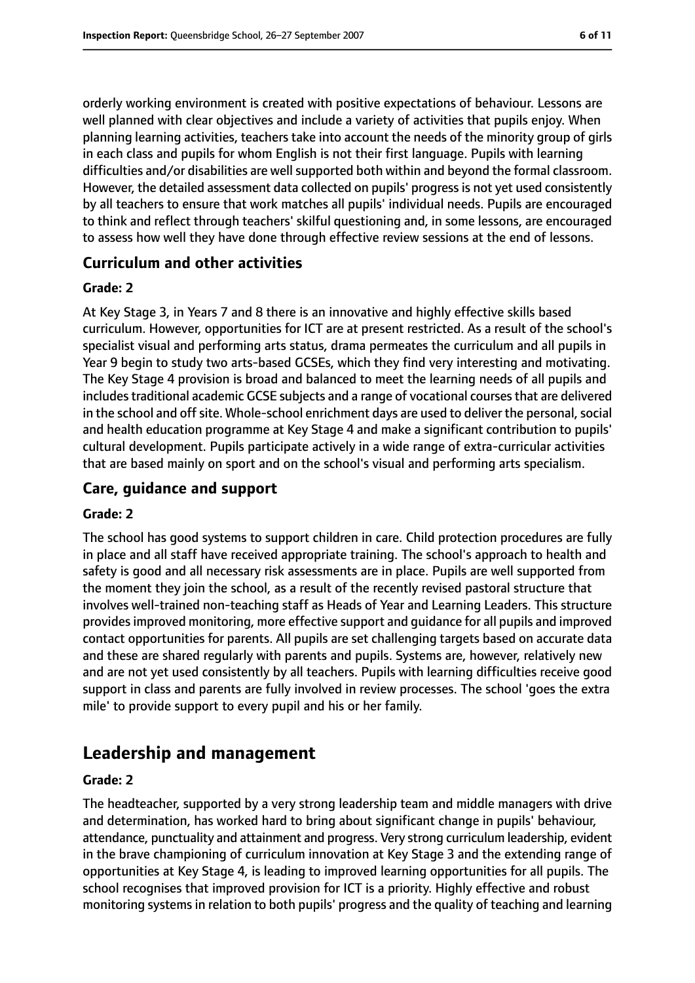orderly working environment is created with positive expectations of behaviour. Lessons are well planned with clear objectives and include a variety of activities that pupils enjoy. When planning learning activities, teachers take into account the needs of the minority group of girls in each class and pupils for whom English is not their first language. Pupils with learning difficulties and/or disabilities are well supported both within and beyond the formal classroom. However, the detailed assessment data collected on pupils' progress is not yet used consistently by all teachers to ensure that work matches all pupils' individual needs. Pupils are encouraged to think and reflect through teachers' skilful questioning and, in some lessons, are encouraged to assess how well they have done through effective review sessions at the end of lessons.

### **Curriculum and other activities**

#### **Grade: 2**

At Key Stage 3, in Years 7 and 8 there is an innovative and highly effective skills based curriculum. However, opportunities for ICT are at present restricted. As a result of the school's specialist visual and performing arts status, drama permeates the curriculum and all pupils in Year 9 begin to study two arts-based GCSEs, which they find very interesting and motivating. The Key Stage 4 provision is broad and balanced to meet the learning needs of all pupils and includes traditional academic GCSE subjects and a range of vocational courses that are delivered in the school and off site. Whole-school enrichment days are used to deliver the personal, social and health education programme at Key Stage 4 and make a significant contribution to pupils' cultural development. Pupils participate actively in a wide range of extra-curricular activities that are based mainly on sport and on the school's visual and performing arts specialism.

### **Care, guidance and support**

#### **Grade: 2**

The school has good systems to support children in care. Child protection procedures are fully in place and all staff have received appropriate training. The school's approach to health and safety is good and all necessary risk assessments are in place. Pupils are well supported from the moment they join the school, as a result of the recently revised pastoral structure that involves well-trained non-teaching staff as Heads of Year and Learning Leaders. This structure providesimproved monitoring, more effective support and guidance for all pupils and improved contact opportunities for parents. All pupils are set challenging targets based on accurate data and these are shared regularly with parents and pupils. Systems are, however, relatively new and are not yet used consistently by all teachers. Pupils with learning difficulties receive good support in class and parents are fully involved in review processes. The school 'goes the extra mile' to provide support to every pupil and his or her family.

# **Leadership and management**

#### **Grade: 2**

The headteacher, supported by a very strong leadership team and middle managers with drive and determination, has worked hard to bring about significant change in pupils' behaviour, attendance, punctuality and attainment and progress. Very strong curriculum leadership, evident in the brave championing of curriculum innovation at Key Stage 3 and the extending range of opportunities at Key Stage 4, is leading to improved learning opportunities for all pupils. The school recognises that improved provision for ICT is a priority. Highly effective and robust monitoring systems in relation to both pupils' progress and the quality of teaching and learning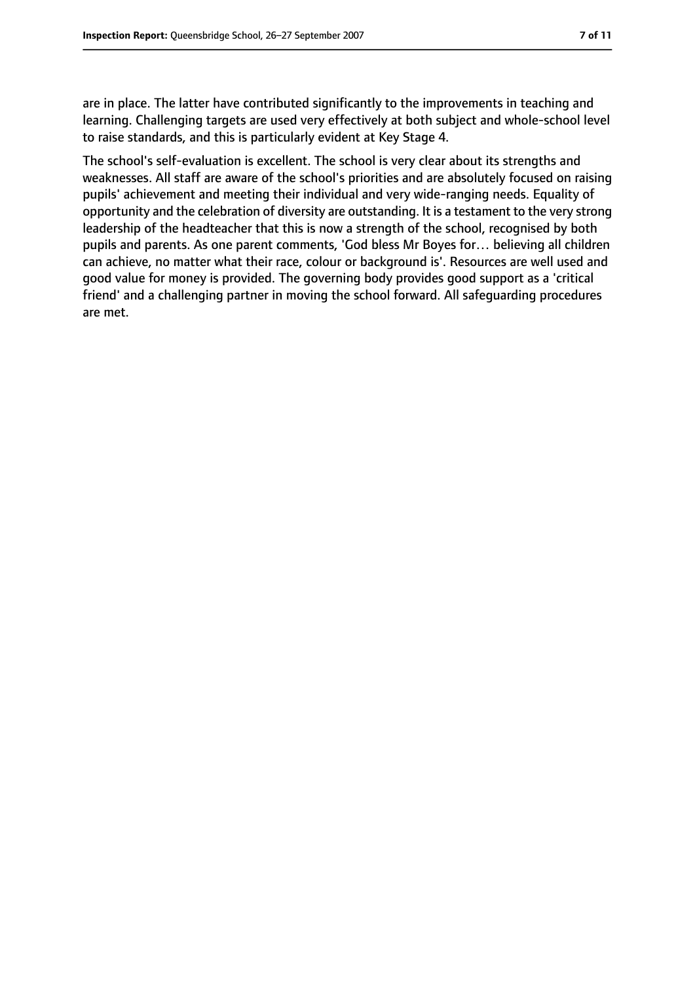are in place. The latter have contributed significantly to the improvements in teaching and learning. Challenging targets are used very effectively at both subject and whole-school level to raise standards, and this is particularly evident at Key Stage 4.

The school's self-evaluation is excellent. The school is very clear about its strengths and weaknesses. All staff are aware of the school's priorities and are absolutely focused on raising pupils' achievement and meeting their individual and very wide-ranging needs. Equality of opportunity and the celebration of diversity are outstanding. It is a testament to the very strong leadership of the headteacher that this is now a strength of the school, recognised by both pupils and parents. As one parent comments, 'God bless Mr Boyes for… believing all children can achieve, no matter what their race, colour or background is'. Resources are well used and good value for money is provided. The governing body provides good support as a 'critical friend' and a challenging partner in moving the school forward. All safeguarding procedures are met.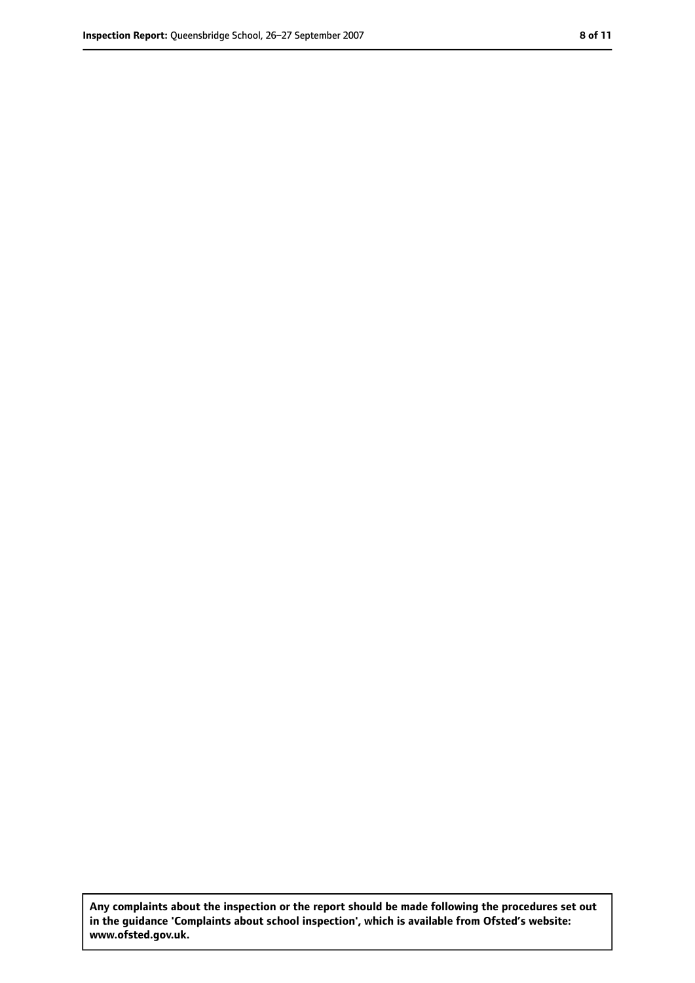**Any complaints about the inspection or the report should be made following the procedures set out in the guidance 'Complaints about school inspection', which is available from Ofsted's website: www.ofsted.gov.uk.**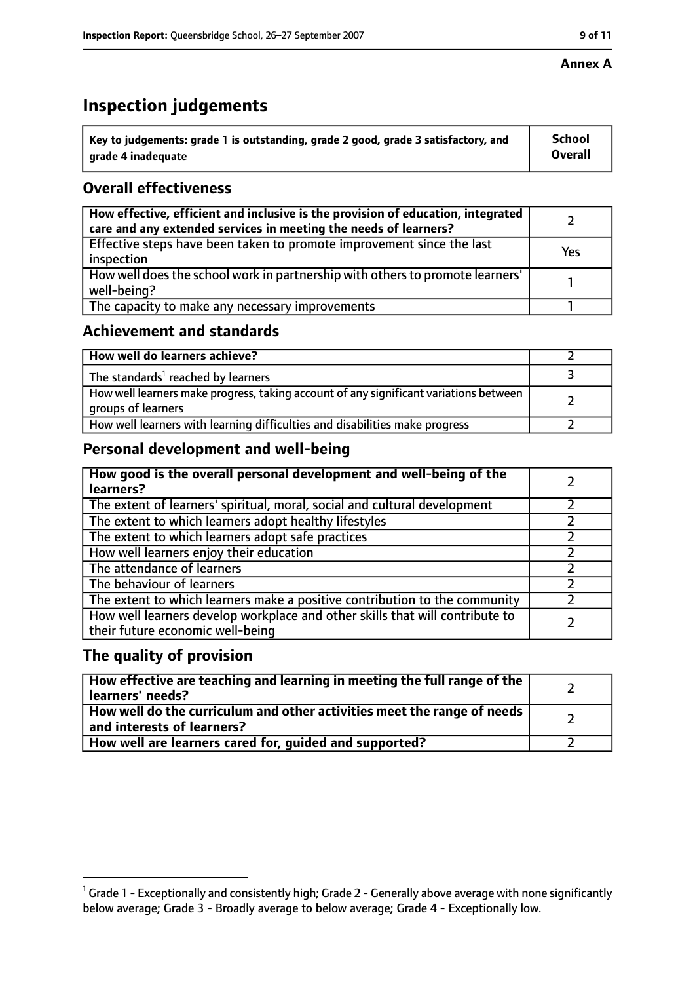#### **Annex A**

# **Inspection judgements**

| $^{\circ}$ Key to judgements: grade 1 is outstanding, grade 2 good, grade 3 satisfactory, and | <b>School</b>  |
|-----------------------------------------------------------------------------------------------|----------------|
| arade 4 inadeguate                                                                            | <b>Overall</b> |

# **Overall effectiveness**

| How effective, efficient and inclusive is the provision of education, integrated<br>care and any extended services in meeting the needs of learners? |     |
|------------------------------------------------------------------------------------------------------------------------------------------------------|-----|
| Effective steps have been taken to promote improvement since the last<br>inspection                                                                  | Yes |
| How well does the school work in partnership with others to promote learners'<br>well-being?                                                         |     |
| The capacity to make any necessary improvements                                                                                                      |     |

# **Achievement and standards**

| How well do learners achieve?                                                                               |  |
|-------------------------------------------------------------------------------------------------------------|--|
| The standards <sup>1</sup> reached by learners                                                              |  |
| How well learners make progress, taking account of any significant variations between<br>groups of learners |  |
| How well learners with learning difficulties and disabilities make progress                                 |  |

# **Personal development and well-being**

| How good is the overall personal development and well-being of the<br>learners?                                  |  |
|------------------------------------------------------------------------------------------------------------------|--|
| The extent of learners' spiritual, moral, social and cultural development                                        |  |
| The extent to which learners adopt healthy lifestyles                                                            |  |
| The extent to which learners adopt safe practices                                                                |  |
| How well learners enjoy their education                                                                          |  |
| The attendance of learners                                                                                       |  |
| The behaviour of learners                                                                                        |  |
| The extent to which learners make a positive contribution to the community                                       |  |
| How well learners develop workplace and other skills that will contribute to<br>their future economic well-being |  |

## **The quality of provision**

| How effective are teaching and learning in meeting the full range of the<br>learners' needs?                     |  |
|------------------------------------------------------------------------------------------------------------------|--|
| How well do the curriculum and other activities meet the range of needs<br>$^{\rm t}$ and interests of learners? |  |
| How well are learners cared for, guided and supported?                                                           |  |

 $^1$  Grade 1 - Exceptionally and consistently high; Grade 2 - Generally above average with none significantly below average; Grade 3 - Broadly average to below average; Grade 4 - Exceptionally low.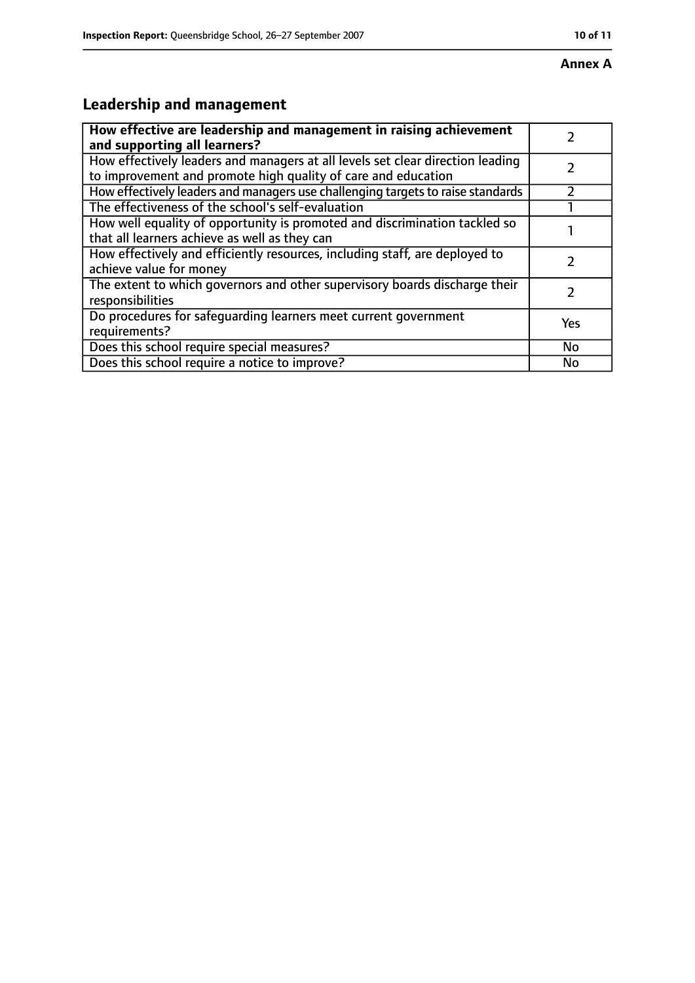# **Annex A**

# **Leadership and management**

| How effective are leadership and management in raising achievement<br>and supporting all learners?                                              |     |
|-------------------------------------------------------------------------------------------------------------------------------------------------|-----|
| How effectively leaders and managers at all levels set clear direction leading<br>to improvement and promote high quality of care and education |     |
| How effectively leaders and managers use challenging targets to raise standards                                                                 |     |
| The effectiveness of the school's self-evaluation                                                                                               |     |
| How well equality of opportunity is promoted and discrimination tackled so<br>that all learners achieve as well as they can                     |     |
| How effectively and efficiently resources, including staff, are deployed to<br>achieve value for money                                          | フ   |
| The extent to which governors and other supervisory boards discharge their<br>responsibilities                                                  | 7   |
| Do procedures for safequarding learners meet current government<br>requirements?                                                                | Yes |
| Does this school require special measures?                                                                                                      | No  |
| Does this school require a notice to improve?                                                                                                   | No  |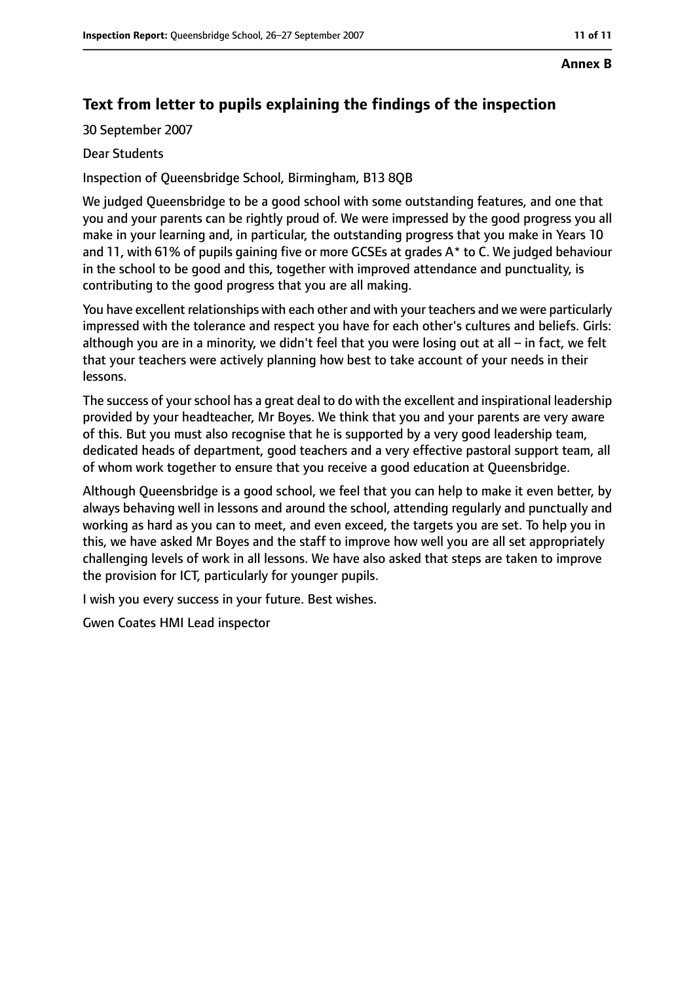#### **Annex B**

# **Text from letter to pupils explaining the findings of the inspection**

30 September 2007

#### Dear Students

Inspection of Queensbridge School, Birmingham, B13 8QB

We judged Queensbridge to be a good school with some outstanding features, and one that you and your parents can be rightly proud of. We were impressed by the good progress you all make in your learning and, in particular, the outstanding progress that you make in Years 10 and 11, with 61% of pupils gaining five or more GCSEs at grades A\* to C. We judged behaviour in the school to be good and this, together with improved attendance and punctuality, is contributing to the good progress that you are all making.

You have excellent relationships with each other and with your teachers and we were particularly impressed with the tolerance and respect you have for each other's cultures and beliefs. Girls: although you are in a minority, we didn't feel that you were losing out at all  $-$  in fact, we felt that your teachers were actively planning how best to take account of your needs in their lessons.

The success of your school has a great deal to do with the excellent and inspirational leadership provided by your headteacher, Mr Boyes. We think that you and your parents are very aware of this. But you must also recognise that he is supported by a very good leadership team, dedicated heads of department, good teachers and a very effective pastoral support team, all of whom work together to ensure that you receive a good education at Queensbridge.

Although Queensbridge is a good school, we feel that you can help to make it even better, by always behaving well in lessons and around the school, attending regularly and punctually and working as hard as you can to meet, and even exceed, the targets you are set. To help you in this, we have asked Mr Boyes and the staff to improve how well you are all set appropriately challenging levels of work in all lessons. We have also asked that steps are taken to improve the provision for ICT, particularly for younger pupils.

I wish you every success in your future. Best wishes.

Gwen Coates HMI Lead inspector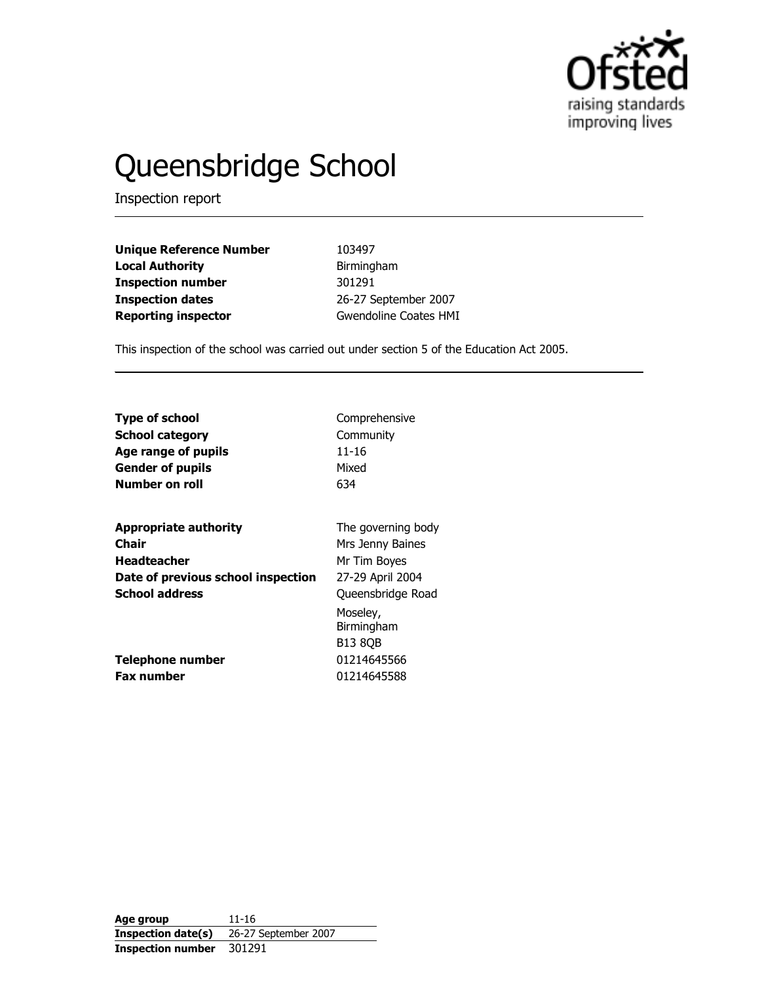

# Queensbridge School

Inspection report

| <b>Unique Reference Number</b> |
|--------------------------------|
| <b>Local Authority</b>         |
| <b>Inspection number</b>       |
| <b>Inspection dates</b>        |
| <b>Reporting inspector</b>     |

103497 Birmingham 301291 26-27 September 2007 Gwendoline Coates HMI

This inspection of the school was carried out under section 5 of the Education Act 2005.

| Type of school                        | Comprehensive                                                   |
|---------------------------------------|-----------------------------------------------------------------|
| <b>School category</b>                | Community                                                       |
| Age range of pupils                   | 11-16                                                           |
| <b>Gender of pupils</b>               | Mixed                                                           |
| Number on roll                        | 634                                                             |
| <b>Appropriate authority</b>          | The governing body                                              |
| Chair                                 | Mrs Jenny Baines                                                |
| <b>Headteacher</b>                    | Mr Tim Boyes                                                    |
| Date of previous school inspection    | 27-29 April 2004                                                |
| <b>School address</b>                 | Queensbridge Road                                               |
| Telephone number<br><b>Fax number</b> | Moseley,<br>Birmingham<br>B13 80B<br>01214645566<br>01214645588 |

Age group 11-16<br>Inspection date(s) 26-27 26-27 September 2007 Inspection number 301291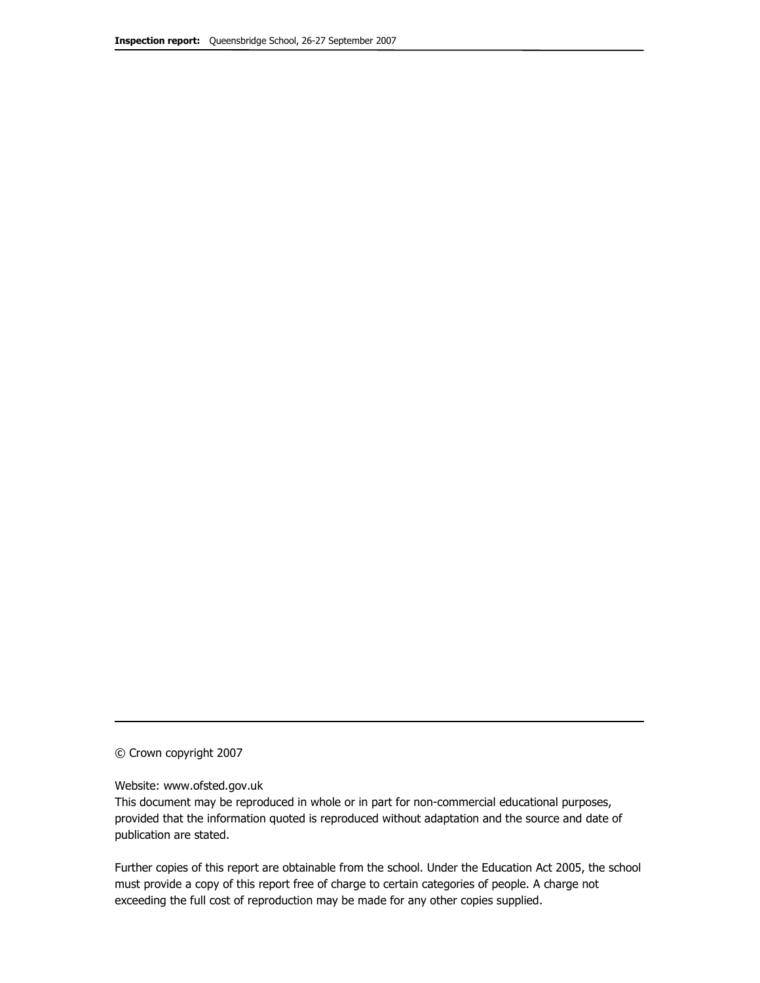© Crown copyright 2007

#### Website: www.ofsted.gov.uk

This document may be reproduced in whole or in part for non-commercial educational purposes, provided that the information quoted is reproduced without adaptation and the source and date of publication are stated.

Further copies of this report are obtainable from the school. Under the Education Act 2005, the school must provide a copy of this report free of charge to certain categories of people. A charge not exceeding the full cost of reproduction may be made for any other copies supplied.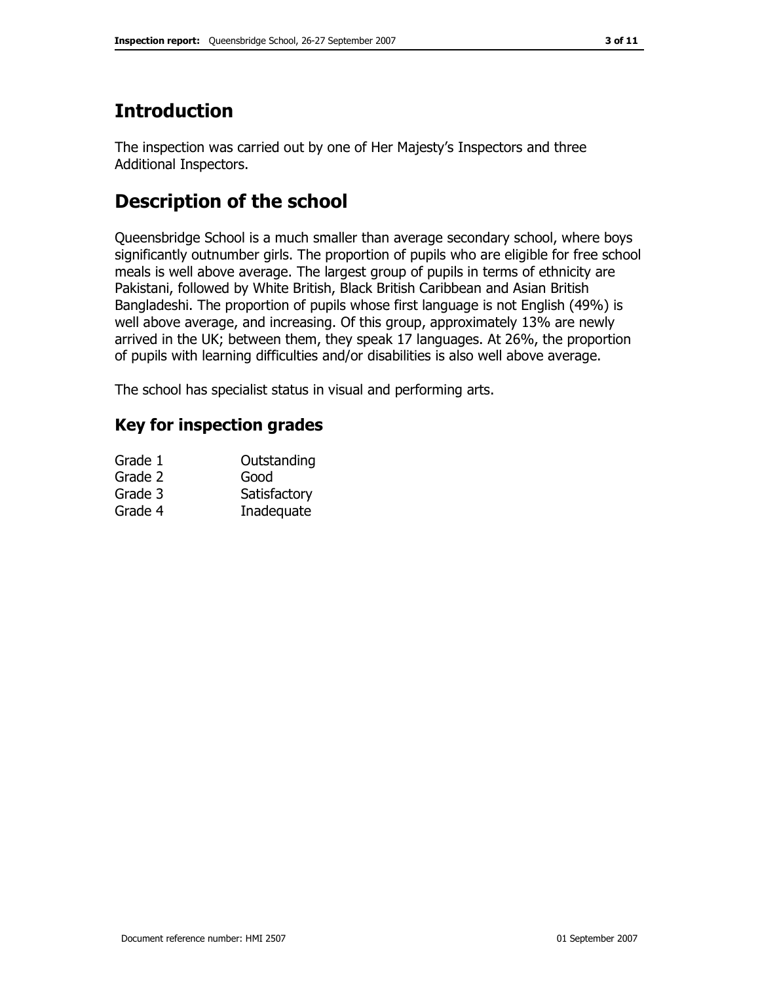# **Introduction**

The inspection was carried out by one of Her Majesty's Inspectors and three Additional Inspectors.

# Description of the school

Queensbridge School is a much smaller than average secondary school, where boys significantly outnumber girls. The proportion of pupils who are eligible for free school meals is well above average. The largest group of pupils in terms of ethnicity are Pakistani, followed by White British, Black British Caribbean and Asian British Bangladeshi. The proportion of pupils whose first language is not English (49%) is well above average, and increasing. Of this group, approximately 13% are newly arrived in the UK; between them, they speak 17 languages. At 26%, the proportion of pupils with learning difficulties and/or disabilities is also well above average.

The school has specialist status in visual and performing arts.

# Key for inspection grades

| Grade 1 | Outstanding  |
|---------|--------------|
| Grade 2 | Good         |
| Grade 3 | Satisfactory |
| Grade 4 | Inadequate   |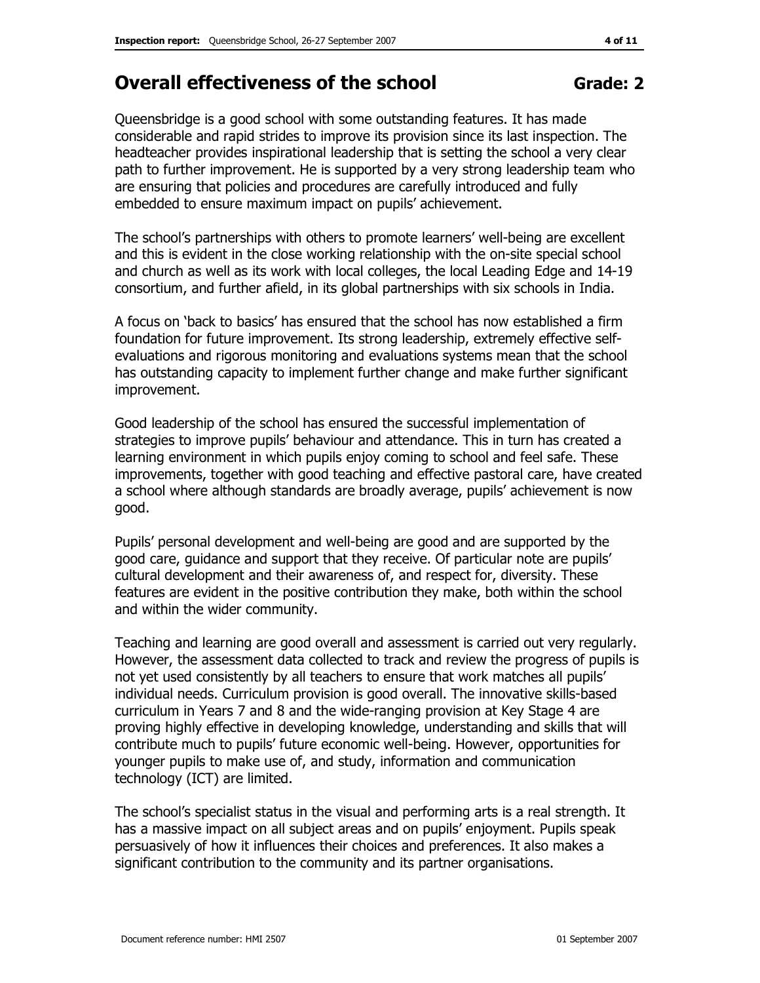# Overall effectiveness of the school Grade: 2

### Queensbridge is a good school with some outstanding features. It has made considerable and rapid strides to improve its provision since its last inspection. The headteacher provides inspirational leadership that is setting the school a very clear path to further improvement. He is supported by a very strong leadership team who

are ensuring that policies and procedures are carefully introduced and fully

embedded to ensure maximum impact on pupils' achievement.

The school's partnerships with others to promote learners' well-being are excellent and this is evident in the close working relationship with the on-site special school and church as well as its work with local colleges, the local Leading Edge and 14-19 consortium, and further afield, in its global partnerships with six schools in India.

A focus on 'back to basics' has ensured that the school has now established a firm foundation for future improvement. Its strong leadership, extremely effective selfevaluations and rigorous monitoring and evaluations systems mean that the school has outstanding capacity to implement further change and make further significant improvement.

Good leadership of the school has ensured the successful implementation of strategies to improve pupils' behaviour and attendance. This in turn has created a learning environment in which pupils enjoy coming to school and feel safe. These improvements, together with good teaching and effective pastoral care, have created a school where although standards are broadly average, pupils' achievement is now good.

Pupils' personal development and well-being are good and are supported by the good care, guidance and support that they receive. Of particular note are pupils' cultural development and their awareness of, and respect for, diversity. These features are evident in the positive contribution they make, both within the school and within the wider community.

Teaching and learning are good overall and assessment is carried out very regularly. However, the assessment data collected to track and review the progress of pupils is not yet used consistently by all teachers to ensure that work matches all pupils' individual needs. Curriculum provision is good overall. The innovative skills-based curriculum in Years 7 and 8 and the wide-ranging provision at Key Stage 4 are proving highly effective in developing knowledge, understanding and skills that will contribute much to pupils' future economic well-being. However, opportunities for younger pupils to make use of, and study, information and communication technology (ICT) are limited.

The school's specialist status in the visual and performing arts is a real strength. It has a massive impact on all subject areas and on pupils' enjoyment. Pupils speak persuasively of how it influences their choices and preferences. It also makes a significant contribution to the community and its partner organisations.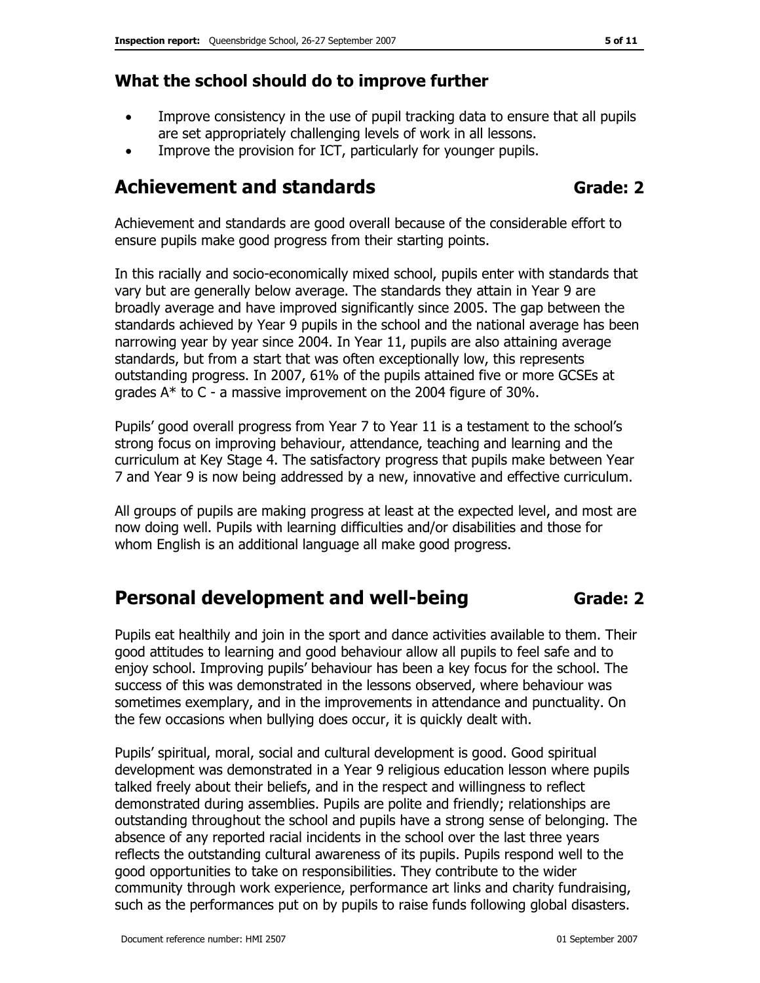## What the school should do to improve further

- Improve consistency in the use of pupil tracking data to ensure that all pupils are set appropriately challenging levels of work in all lessons.
- Improve the provision for ICT, particularly for younger pupils.

# Achievement and standards and standards Grade: 2

Achievement and standards are good overall because of the considerable effort to ensure pupils make good progress from their starting points.

In this racially and socio-economically mixed school, pupils enter with standards that vary but are generally below average. The standards they attain in Year 9 are broadly average and have improved significantly since 2005. The gap between the standards achieved by Year 9 pupils in the school and the national average has been narrowing year by year since 2004. In Year 11, pupils are also attaining average standards, but from a start that was often exceptionally low, this represents outstanding progress. In 2007, 61% of the pupils attained five or more GCSEs at grades A\* to C - a massive improvement on the 2004 figure of 30%.

Pupils' good overall progress from Year 7 to Year 11 is a testament to the school's strong focus on improving behaviour, attendance, teaching and learning and the curriculum at Key Stage 4. The satisfactory progress that pupils make between Year 7 and Year 9 is now being addressed by a new, innovative and effective curriculum.

All groups of pupils are making progress at least at the expected level, and most are now doing well. Pupils with learning difficulties and/or disabilities and those for whom English is an additional language all make good progress.

# Personal development and well-being Grade: 2

Pupils eat healthily and join in the sport and dance activities available to them. Their good attitudes to learning and good behaviour allow all pupils to feel safe and to enjoy school. Improving pupils' behaviour has been a key focus for the school. The success of this was demonstrated in the lessons observed, where behaviour was sometimes exemplary, and in the improvements in attendance and punctuality. On the few occasions when bullying does occur, it is quickly dealt with.

Pupils' spiritual, moral, social and cultural development is good. Good spiritual development was demonstrated in a Year 9 religious education lesson where pupils talked freely about their beliefs, and in the respect and willingness to reflect demonstrated during assemblies. Pupils are polite and friendly; relationships are outstanding throughout the school and pupils have a strong sense of belonging. The absence of any reported racial incidents in the school over the last three years reflects the outstanding cultural awareness of its pupils. Pupils respond well to the good opportunities to take on responsibilities. They contribute to the wider community through work experience, performance art links and charity fundraising, such as the performances put on by pupils to raise funds following global disasters.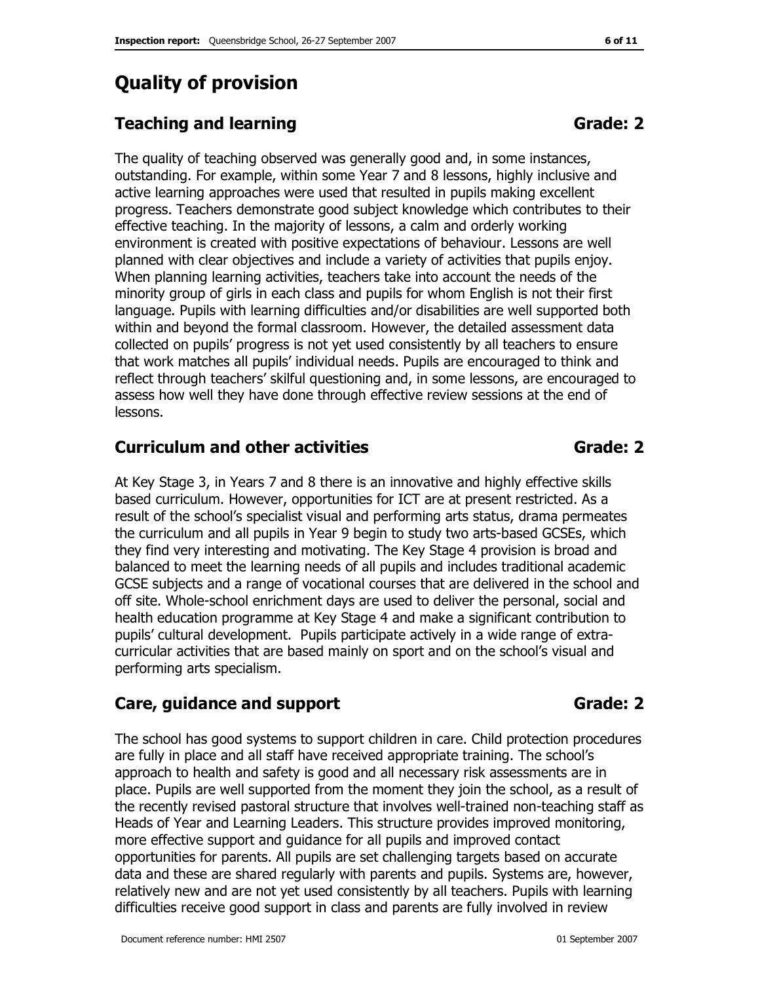# Quality of provision

# Teaching and learning Grade: 2

The quality of teaching observed was generally good and, in some instances, outstanding. For example, within some Year 7 and 8 lessons, highly inclusive and active learning approaches were used that resulted in pupils making excellent progress. Teachers demonstrate good subject knowledge which contributes to their effective teaching. In the majority of lessons, a calm and orderly working environment is created with positive expectations of behaviour. Lessons are well planned with clear objectives and include a variety of activities that pupils enjoy. When planning learning activities, teachers take into account the needs of the minority group of girls in each class and pupils for whom English is not their first language. Pupils with learning difficulties and/or disabilities are well supported both within and beyond the formal classroom. However, the detailed assessment data collected on pupils' progress is not yet used consistently by all teachers to ensure that work matches all pupils' individual needs. Pupils are encouraged to think and reflect through teachers' skilful questioning and, in some lessons, are encouraged to assess how well they have done through effective review sessions at the end of lessons.

# Curriculum and other activities example of the Grade: 2

At Key Stage 3, in Years 7 and 8 there is an innovative and highly effective skills based curriculum. However, opportunities for ICT are at present restricted. As a result of the school's specialist visual and performing arts status, drama permeates the curriculum and all pupils in Year 9 begin to study two arts-based GCSEs, which they find very interesting and motivating. The Key Stage 4 provision is broad and balanced to meet the learning needs of all pupils and includes traditional academic GCSE subjects and a range of vocational courses that are delivered in the school and off site. Whole-school enrichment days are used to deliver the personal, social and health education programme at Key Stage 4 and make a significant contribution to pupils' cultural development. Pupils participate actively in a wide range of extracurricular activities that are based mainly on sport and on the school's visual and performing arts specialism.

# Care, guidance and support Grade: 2

The school has good systems to support children in care. Child protection procedures are fully in place and all staff have received appropriate training. The school's approach to health and safety is good and all necessary risk assessments are in place. Pupils are well supported from the moment they join the school, as a result of the recently revised pastoral structure that involves well-trained non-teaching staff as Heads of Year and Learning Leaders. This structure provides improved monitoring, more effective support and guidance for all pupils and improved contact opportunities for parents. All pupils are set challenging targets based on accurate data and these are shared regularly with parents and pupils. Systems are, however, relatively new and are not yet used consistently by all teachers. Pupils with learning difficulties receive good support in class and parents are fully involved in review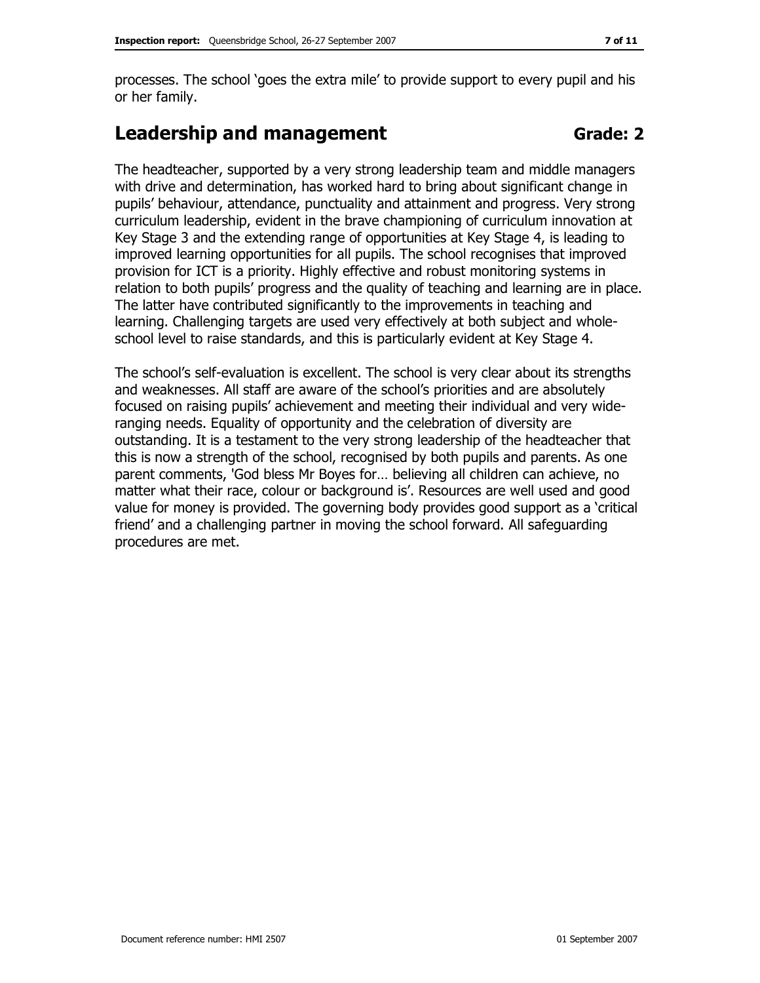processes. The school 'goes the extra mile' to provide support to every pupil and his or her family.

# Leadership and management Contract Grade: 2

The headteacher, supported by a very strong leadership team and middle managers with drive and determination, has worked hard to bring about significant change in pupils' behaviour, attendance, punctuality and attainment and progress. Very strong curriculum leadership, evident in the brave championing of curriculum innovation at Key Stage 3 and the extending range of opportunities at Key Stage 4, is leading to improved learning opportunities for all pupils. The school recognises that improved provision for ICT is a priority. Highly effective and robust monitoring systems in relation to both pupils' progress and the quality of teaching and learning are in place. The latter have contributed significantly to the improvements in teaching and learning. Challenging targets are used very effectively at both subject and wholeschool level to raise standards, and this is particularly evident at Key Stage 4.

The school's self-evaluation is excellent. The school is very clear about its strengths and weaknesses. All staff are aware of the school's priorities and are absolutely focused on raising pupils' achievement and meeting their individual and very wideranging needs. Equality of opportunity and the celebration of diversity are outstanding. It is a testament to the very strong leadership of the headteacher that this is now a strength of the school, recognised by both pupils and parents. As one parent comments, 'God bless Mr Boyes for… believing all children can achieve, no matter what their race, colour or background is'. Resources are well used and good value for money is provided. The governing body provides good support as a 'critical friend' and a challenging partner in moving the school forward. All safeguarding procedures are met.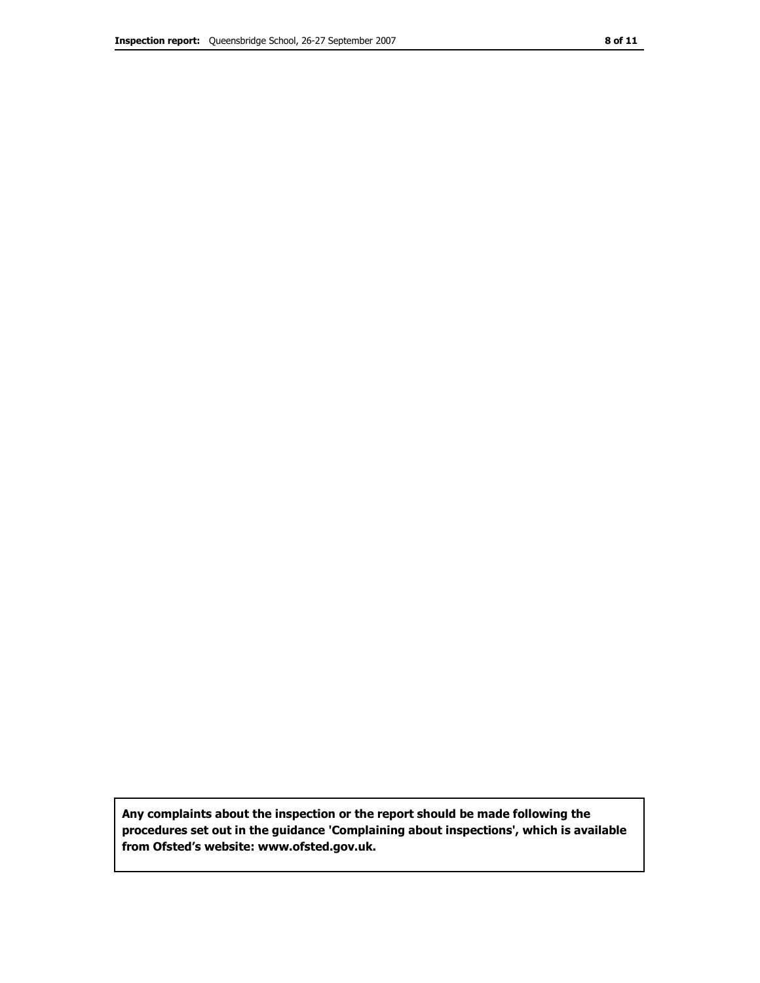Any complaints about the inspection or the report should be made following the procedures set out in the guidance 'Complaining about inspections', which is available from Ofsted's website: www.ofsted.gov.uk.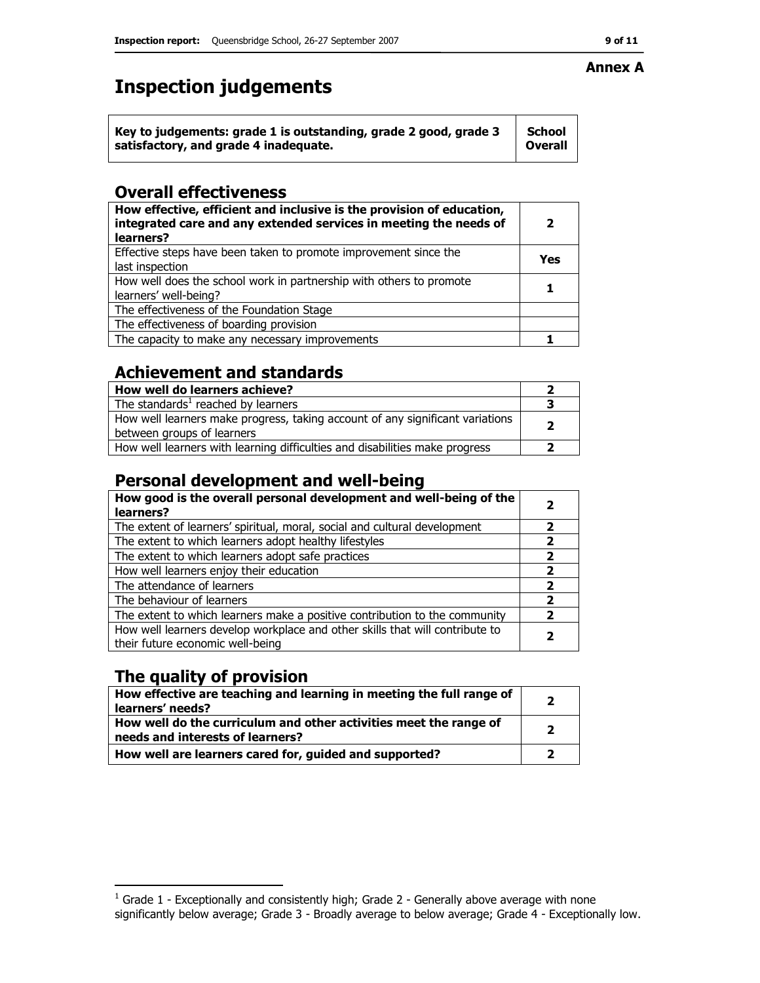# Inspection judgements

#### Overall effectiveness

| How effective, efficient and inclusive is the provision of education,<br>integrated care and any extended services in meeting the needs of<br>learners? | 2   |
|---------------------------------------------------------------------------------------------------------------------------------------------------------|-----|
| Effective steps have been taken to promote improvement since the<br>last inspection                                                                     | Yes |
| How well does the school work in partnership with others to promote<br>learners' well-being?                                                            |     |
| The effectiveness of the Foundation Stage                                                                                                               |     |
| The effectiveness of boarding provision                                                                                                                 |     |
| The capacity to make any necessary improvements                                                                                                         |     |

# Achievement and standards

| How well do learners achieve?                                                 |  |
|-------------------------------------------------------------------------------|--|
| The standards <sup>1</sup> reached by learners                                |  |
| How well learners make progress, taking account of any significant variations |  |
| between groups of learners                                                    |  |
| How well learners with learning difficulties and disabilities make progress   |  |

# Personal development and well-being

| How good is the overall personal development and well-being of the<br>learners?                                  | 2                        |
|------------------------------------------------------------------------------------------------------------------|--------------------------|
| The extent of learners' spiritual, moral, social and cultural development                                        | 2                        |
| The extent to which learners adopt healthy lifestyles                                                            | 2                        |
| The extent to which learners adopt safe practices                                                                | $\overline{\phantom{a}}$ |
| How well learners enjoy their education                                                                          | 2                        |
| The attendance of learners                                                                                       | 2                        |
| The behaviour of learners                                                                                        | 2                        |
| The extent to which learners make a positive contribution to the community                                       | $\overline{\phantom{a}}$ |
| How well learners develop workplace and other skills that will contribute to<br>their future economic well-being |                          |

# The quality of provision

| How effective are teaching and learning in meeting the full range of<br>learners' needs?              | ר |
|-------------------------------------------------------------------------------------------------------|---|
| How well do the curriculum and other activities meet the range of<br>needs and interests of learners? | כ |
| How well are learners cared for, guided and supported?                                                |   |

#### Annex A

 1 Grade 1 - Exceptionally and consistently high; Grade 2 - Generally above average with none significantly below average; Grade 3 - Broadly average to below average; Grade 4 - Exceptionally low.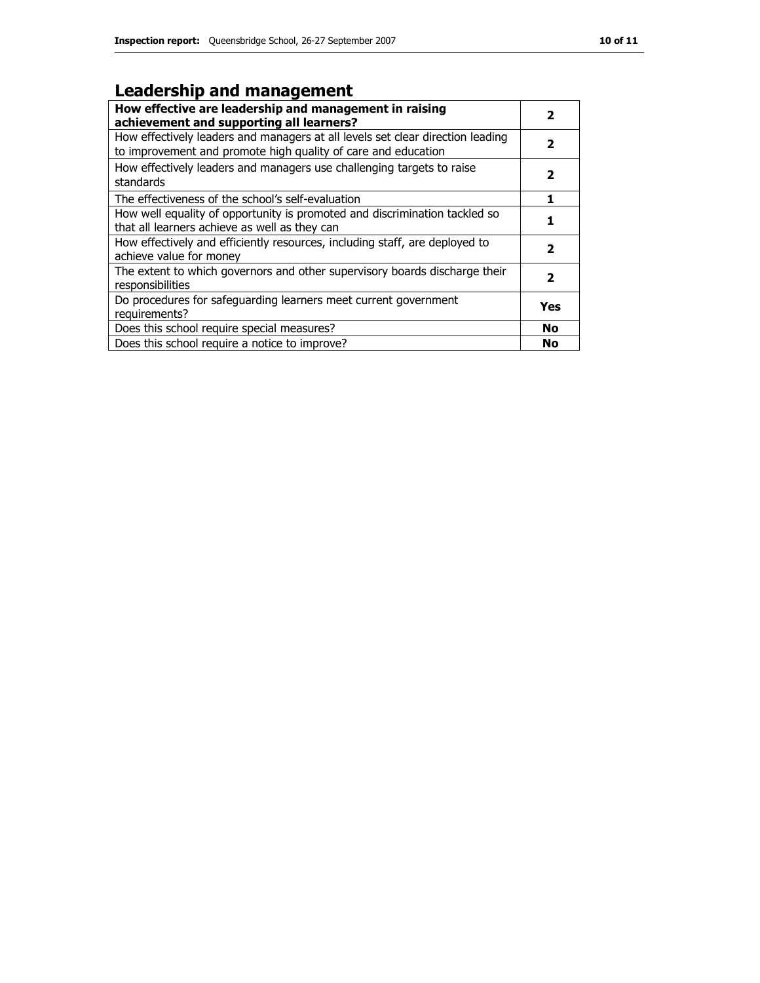# Leadership and management

| How effective are leadership and management in raising<br>achievement and supporting all learners?                                              | 2         |
|-------------------------------------------------------------------------------------------------------------------------------------------------|-----------|
| How effectively leaders and managers at all levels set clear direction leading<br>to improvement and promote high quality of care and education | 2         |
| How effectively leaders and managers use challenging targets to raise<br>standards                                                              | 2         |
| The effectiveness of the school's self-evaluation                                                                                               |           |
| How well equality of opportunity is promoted and discrimination tackled so<br>that all learners achieve as well as they can                     |           |
| How effectively and efficiently resources, including staff, are deployed to<br>achieve value for money                                          | 2         |
| The extent to which governors and other supervisory boards discharge their<br>responsibilities                                                  | 2         |
| Do procedures for safequarding learners meet current government<br>requirements?                                                                | Yes       |
| Does this school require special measures?                                                                                                      | <b>No</b> |
| Does this school require a notice to improve?                                                                                                   | <b>No</b> |